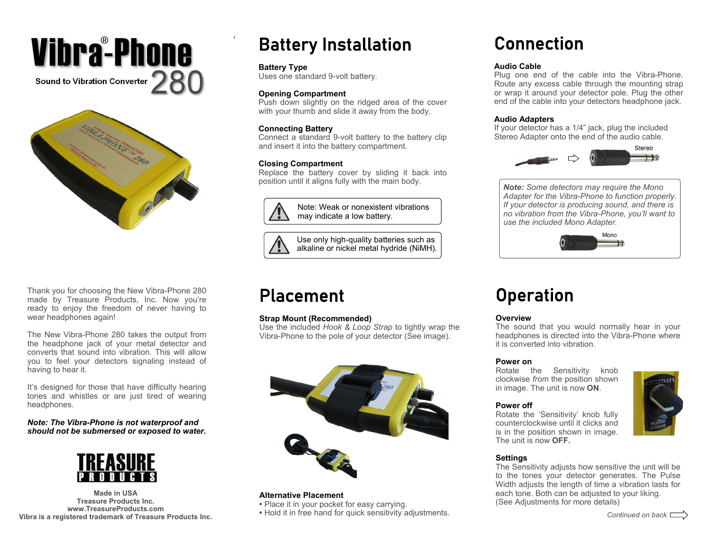



Thank you for choosing the New Vibra-Phone 280 made by Treasure Products, Inc. Now you're ready to enjoy the freedom of never having to wear headphones again!

The New Vibra-Phone 280 takes the output from the headphone jack of your metal detector and converts that sound into vibration. This will allow you to feel your detectors signaling instead of having to hear it.

It's designed for those that have difficulty hearing tones and whistles or are just tired of wearing headphones.

*Note: The Vibra-Phone is not waterproof and should not be submersed or exposed to water.* 



**Made in USA Treasure Products Inc. www.TreasureProducts.com Vibra is a registered trademark of Treasure Products Inc.** 

# Battery Installation

### **Battery Type**

Uses one standard 9-volt battery.

## **Opening Compartment**

Push down slightly on the ridged area of the cover with your thumb and slide it away from the body.

## **Connecting Battery**

Connect a standard 9-volt battery to the battery clip and insert it into the battery compartment.

## **Closing Compartment**

Replace the battery cover by sliding it back into position until it aligns fully with the main body.



Note: Weak or nonexistent vibrations may indicate a low battery.

Use only high-quality batteries such as alkaline or nickel metal hydride (NiMH).

## Placement

## **Strap Mount (Recommended)**

Use the included *Hook & Loop Strap* to tightly wrap the Vibra-Phone to the pole of your detector (See image).



### **Alternative Placement**

- Place it in your pocket for easy carrying.
- Hold it in free hand for quick sensitivity adjustments.

## Connection

## **Audio Cable**

Plug one end of the cable into the Vibra-Phone. Route any excess cable through the mounting strap or wrap it around your detector pole. Plug the other end of the cable into your detectors headphone jack.

## **Audio Adapters**

If your detector has a 1/4" jack, plug the included Stereo Adapter onto the end of the audio cable.



*Note: Some detectors may require the Mono Adapter for the Vibra-Phone to function properly. If your detector is producing sound, and there is no vibration from the Vibra-Phone, you'll want to use the included Mono Adapter.* 



## Operation

### **Overview**

The sound that you would normally hear in your headphones is directed into the Vibra-Phone where it is converted into vibration.

### **Power on**

Rotate the Sensitivity knob clockwise *from* the position shown in image. The unit is now **ON**.

### **Power off**

Rotate the 'Sensitivity' knob fully counterclockwise until it clicks and is in the position shown in image. The unit is now **OFF.** 



## **Settings**

The Sensitivity adjusts how sensitive the unit will be to the tones your detector generates. The Pulse Width adjusts the length of time a vibration lasts for each tone. Both can be adjusted to your liking. (See Adjustments for more details)